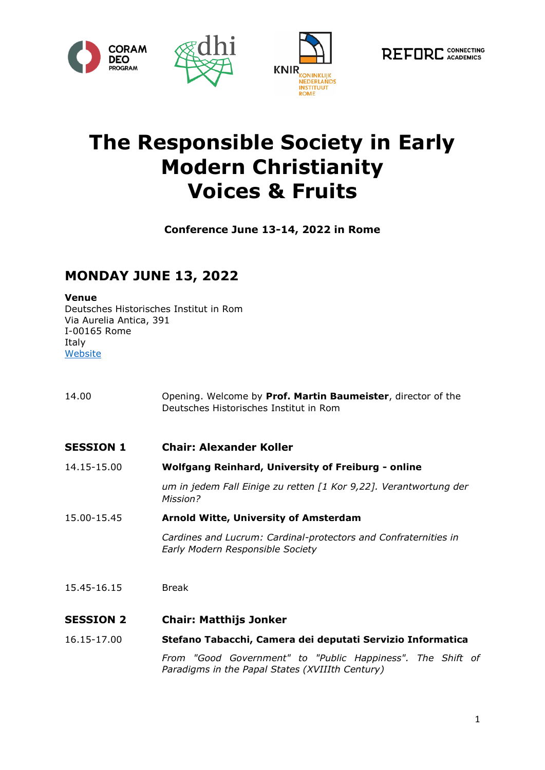





# **The Responsible Society in Early Modern Christianity Voices & Fruits**

**Conference June 13-14, 2022 in Rome**

## **MONDAY JUNE 13, 2022**

#### **Venue**

Deutsches Historisches Institut in Rom Via Aurelia Antica, 391 I-00165 Rome Italy **[Website](http://www.dhi-roma.it/)** 

| 14.00            | Opening. Welcome by Prof. Martin Baumeister, director of the<br>Deutsches Historisches Institut in Rom        |
|------------------|---------------------------------------------------------------------------------------------------------------|
| <b>SESSION 1</b> | <b>Chair: Alexander Koller</b>                                                                                |
| 14.15-15.00      | <b>Wolfgang Reinhard, University of Freiburg - online</b>                                                     |
|                  | um in jedem Fall Einige zu retten [1 Kor 9,22]. Verantwortung der<br>Mission?                                 |
| 15.00-15.45      | <b>Arnold Witte, University of Amsterdam</b>                                                                  |
|                  | Cardines and Lucrum: Cardinal-protectors and Confraternities in<br>Early Modern Responsible Society           |
| 15.45-16.15      | <b>Break</b>                                                                                                  |
| <b>SESSION 2</b> | <b>Chair: Matthijs Jonker</b>                                                                                 |
| 16.15-17.00      | Stefano Tabacchi, Camera dei deputati Servizio Informatica                                                    |
|                  | From "Good Government" to "Public Happiness". The Shift of<br>Paradigms in the Papal States (XVIIIth Century) |
|                  |                                                                                                               |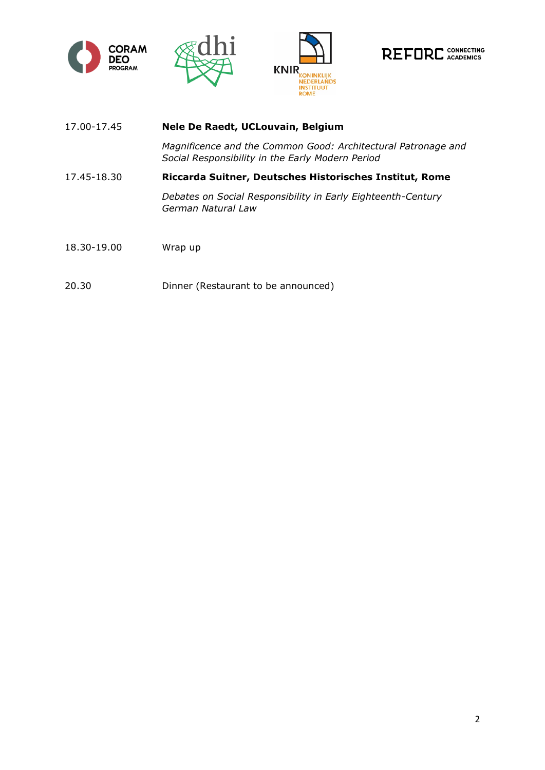







- 17.00-17.45 **Nele De Raedt, UCLouvain, Belgium** *Magnificence and the Common Good: Architectural Patronage and Social Responsibility in the Early Modern Period*  17.45-18.30 **Riccarda Suitner, Deutsches Historisches Institut, Rome** *Debates on Social Responsibility in Early Eighteenth-Century German Natural Law* 18.30-19.00 Wrap up
- 20.30 Dinner (Restaurant to be announced)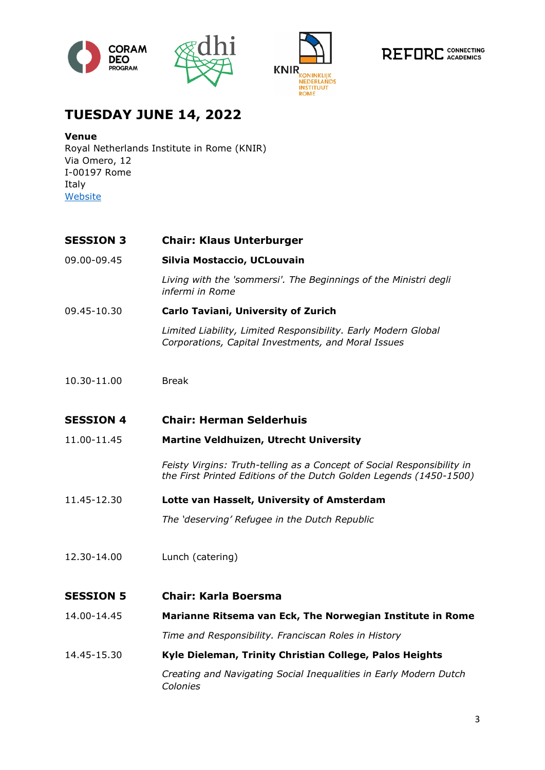







## **TUESDAY JUNE 14, 2022**

#### **Venue**

Royal Netherlands Institute in Rome (KNIR) Via Omero, 12 I-00197 Rome Italy [Website](https://www.knir.it/en/)

#### **SESSION 3 Chair: Klaus Unterburger**

09.00-09.45 **Silvia Mostaccio, UCLouvain**

*Living with the 'sommersi'. The Beginnings of the Ministri degli infermi in Rome*

09.45-10.30 **Carlo Taviani, University of Zurich**

*Limited Liability, Limited Responsibility. Early Modern Global Corporations, Capital Investments, and Moral Issues*

10.30-11.00 Break

#### **SESSION 4 Chair: Herman Selderhuis**

11.00-11.45 **Martine Veldhuizen, Utrecht University**

*Feisty Virgins: Truth-telling as a Concept of Social Responsibility in the First Printed Editions of the Dutch Golden Legends (1450-1500)*

11.45-12.30 **Lotte van Hasselt, University of Amsterdam** 

*The 'deserving' Refugee in the Dutch Republic*

12.30-14.00 Lunch (catering)

#### **SESSION 5 Chair: Karla Boersma**

14.00-14.45 **Marianne Ritsema van Eck, The Norwegian Institute in Rome** *Time and Responsibility. Franciscan Roles in History*

14.45-15.30 **Kyle Dieleman, Trinity Christian College, Palos Heights**

*Creating and Navigating Social Inequalities in Early Modern Dutch Colonies*